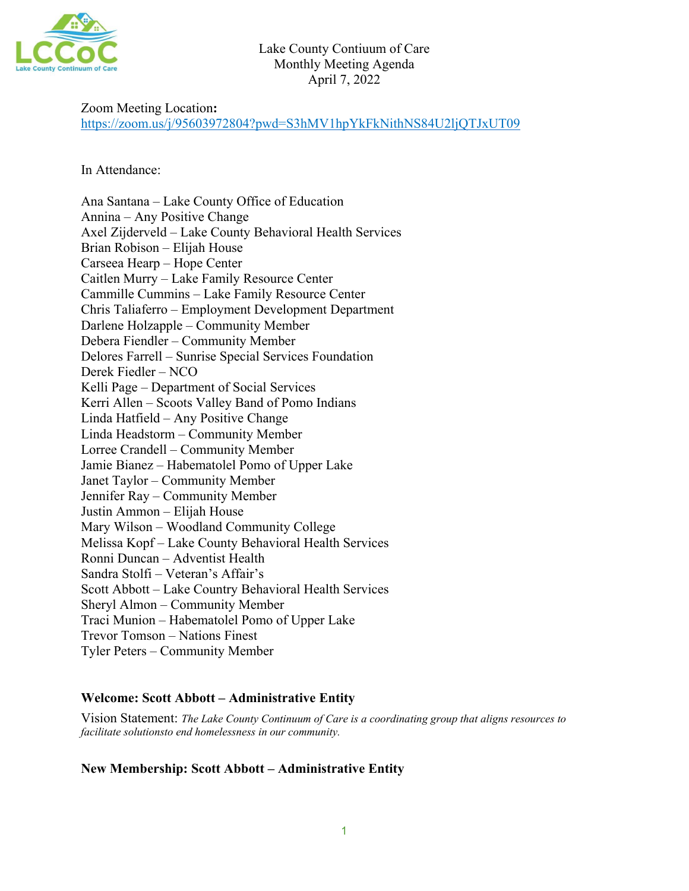

### Zoom Meeting Location**:**

<https://zoom.us/j/95603972804?pwd=S3hMV1hpYkFkNithNS84U2ljQTJxUT09>

In Attendance:

Ana Santana – Lake County Office of Education Annina – Any Positive Change Axel Zijderveld – Lake County Behavioral Health Services Brian Robison – Elijah House Carseea Hearp – Hope Center Caitlen Murry – Lake Family Resource Center Cammille Cummins – Lake Family Resource Center Chris Taliaferro – Employment Development Department Darlene Holzapple – Community Member Debera Fiendler – Community Member Delores Farrell – Sunrise Special Services Foundation Derek Fiedler – NCO Kelli Page – Department of Social Services Kerri Allen – Scoots Valley Band of Pomo Indians Linda Hatfield – Any Positive Change Linda Headstorm – Community Member Lorree Crandell – Community Member Jamie Bianez – Habematolel Pomo of Upper Lake Janet Taylor – Community Member Jennifer Ray – Community Member Justin Ammon – Elijah House Mary Wilson – Woodland Community College Melissa Kopf – Lake County Behavioral Health Services Ronni Duncan – Adventist Health Sandra Stolfi – Veteran's Affair's Scott Abbott – Lake Country Behavioral Health Services Sheryl Almon – Community Member Traci Munion – Habematolel Pomo of Upper Lake Trevor Tomson – Nations Finest Tyler Peters – Community Member

### **Welcome: Scott Abbott – Administrative Entity**

Vision Statement: *The Lake County Continuum of Care is a coordinating group that aligns resources to facilitate solutionsto end homelessness in our community.*

### **New Membership: Scott Abbott – Administrative Entity**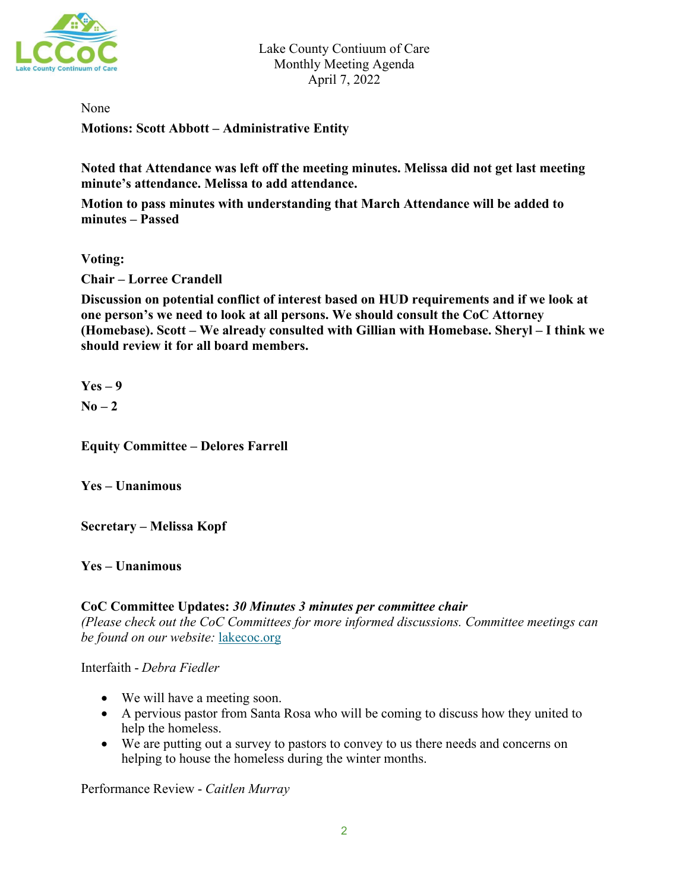

None

**Motions: Scott Abbott – Administrative Entity**

**Noted that Attendance was left off the meeting minutes. Melissa did not get last meeting minute's attendance. Melissa to add attendance.** 

**Motion to pass minutes with understanding that March Attendance will be added to minutes – Passed**

**Voting:** 

**Chair – Lorree Crandell**

**Discussion on potential conflict of interest based on HUD requirements and if we look at one person's we need to look at all persons. We should consult the CoC Attorney (Homebase). Scott – We already consulted with Gillian with Homebase. Sheryl – I think we should review it for all board members.** 

**Yes – 9**   $N_0 - 2$ 

**Equity Committee – Delores Farrell**

**Yes – Unanimous** 

**Secretary – Melissa Kopf** 

**Yes – Unanimous** 

#### **CoC Committee Updates:** *30 Minutes 3 minutes per committee chair*

*(Please check out the CoC Committees for more informed discussions. Committee meetings can be found on our website:* [lakecoc.org](file://co.lake.ca.us/fileshares/Health%20Services/Mental%20Health/SHARED/MH%20SHARED/COC/MEETING_agends-minutes_2022/CoC_Minutes_Agendas_2022/lakecoc.org)

Interfaith - *Debra Fiedler*

- We will have a meeting soon.
- A pervious pastor from Santa Rosa who will be coming to discuss how they united to help the homeless.
- We are putting out a survey to pastors to convey to us there needs and concerns on helping to house the homeless during the winter months.

Performance Review - *Caitlen Murray*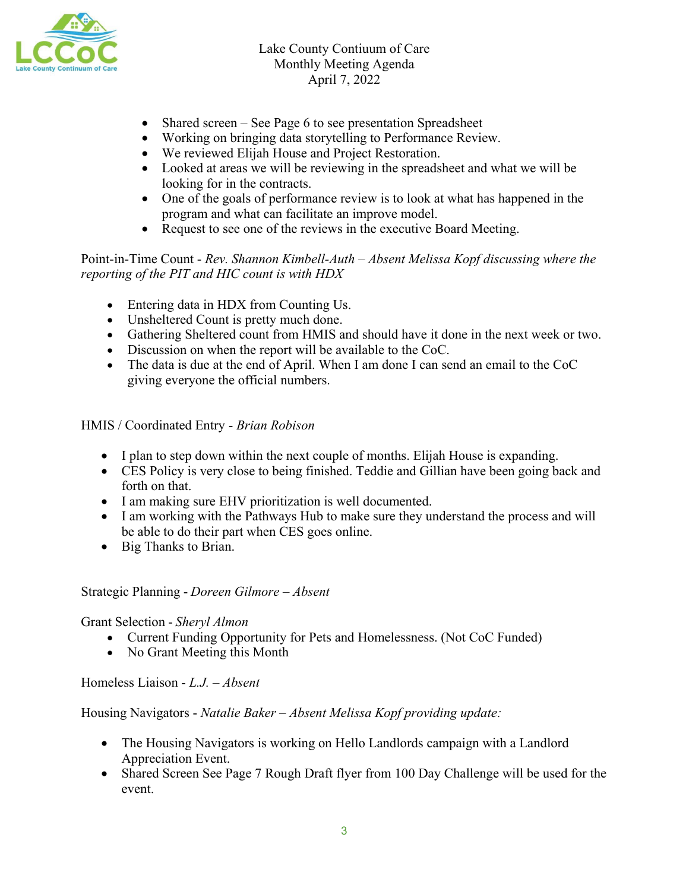

- Shared screen See Page 6 to see presentation Spreadsheet
- Working on bringing data storytelling to Performance Review.
- We reviewed Elijah House and Project Restoration.
- Looked at areas we will be reviewing in the spreadsheet and what we will be looking for in the contracts.
- One of the goals of performance review is to look at what has happened in the program and what can facilitate an improve model.
- Request to see one of the reviews in the executive Board Meeting.

Point-in-Time Count - *Rev. Shannon Kimbell-Auth – Absent Melissa Kopf discussing where the reporting of the PIT and HIC count is with HDX*

- Entering data in HDX from Counting Us.
- Unsheltered Count is pretty much done.
- Gathering Sheltered count from HMIS and should have it done in the next week or two.
- Discussion on when the report will be available to the CoC.
- The data is due at the end of April. When I am done I can send an email to the CoC giving everyone the official numbers.

HMIS / Coordinated Entry - *Brian Robison*

- I plan to step down within the next couple of months. Elijah House is expanding.
- CES Policy is very close to being finished. Teddie and Gillian have been going back and forth on that.
- I am making sure EHV prioritization is well documented.
- I am working with the Pathways Hub to make sure they understand the process and will be able to do their part when CES goes online.
- Big Thanks to Brian.

Strategic Planning - *Doreen Gilmore – Absent*

Grant Selection - *Sheryl Almon*

- Current Funding Opportunity for Pets and Homelessness. (Not CoC Funded)
- No Grant Meeting this Month

Homeless Liaison - *L.J. – Absent* 

Housing Navigators - *Natalie Baker – Absent Melissa Kopf providing update:*

- The Housing Navigators is working on Hello Landlords campaign with a Landlord Appreciation Event.
- Shared Screen See Page 7 Rough Draft flyer from 100 Day Challenge will be used for the event.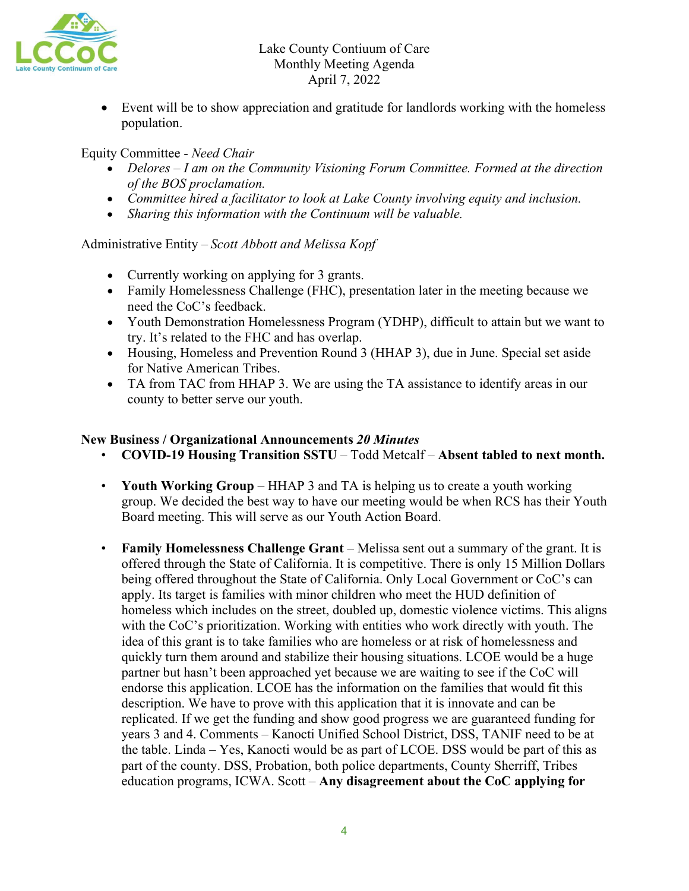• Event will be to show appreciation and gratitude for landlords working with the homeless population.

Equity Committee - *Need Chair*

- *Delores – I am on the Community Visioning Forum Committee. Formed at the direction of the BOS proclamation.*
- *Committee hired a facilitator to look at Lake County involving equity and inclusion.*
- *Sharing this information with the Continuum will be valuable.*

# Administrative Entity – *Scott Abbott and Melissa Kopf*

- Currently working on applying for 3 grants.
- Family Homelessness Challenge (FHC), presentation later in the meeting because we need the CoC's feedback.
- Youth Demonstration Homelessness Program (YDHP), difficult to attain but we want to try. It's related to the FHC and has overlap.
- Housing, Homeless and Prevention Round 3 (HHAP 3), due in June. Special set aside for Native American Tribes.
- TA from TAC from HHAP 3. We are using the TA assistance to identify areas in our county to better serve our youth.

## **New Business / Organizational Announcements** *20 Minutes*

- **COVID-19 Housing Transition SSTU** Todd Metcalf **Absent tabled to next month.**
- **Youth Working Group**  HHAP 3 and TA is helping us to create a youth working group. We decided the best way to have our meeting would be when RCS has their Youth Board meeting. This will serve as our Youth Action Board.
- **Family Homelessness Challenge Grant** Melissa sent out a summary of the grant. It is offered through the State of California. It is competitive. There is only 15 Million Dollars being offered throughout the State of California. Only Local Government or CoC's can apply. Its target is families with minor children who meet the HUD definition of homeless which includes on the street, doubled up, domestic violence victims. This aligns with the CoC's prioritization. Working with entities who work directly with youth. The idea of this grant is to take families who are homeless or at risk of homelessness and quickly turn them around and stabilize their housing situations. LCOE would be a huge partner but hasn't been approached yet because we are waiting to see if the CoC will endorse this application. LCOE has the information on the families that would fit this description. We have to prove with this application that it is innovate and can be replicated. If we get the funding and show good progress we are guaranteed funding for years 3 and 4. Comments – Kanocti Unified School District, DSS, TANIF need to be at the table. Linda – Yes, Kanocti would be as part of LCOE. DSS would be part of this as part of the county. DSS, Probation, both police departments, County Sherriff, Tribes education programs, ICWA. Scott – **Any disagreement about the CoC applying for**